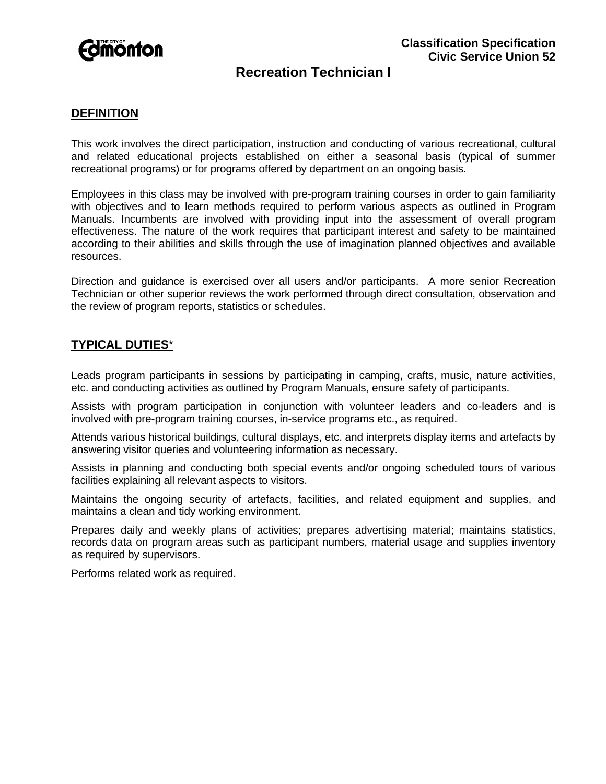

# **DEFINITION**

This work involves the direct participation, instruction and conducting of various recreational, cultural and related educational projects established on either a seasonal basis (typical of summer recreational programs) or for programs offered by department on an ongoing basis.

Employees in this class may be involved with pre-program training courses in order to gain familiarity with objectives and to learn methods required to perform various aspects as outlined in Program Manuals. Incumbents are involved with providing input into the assessment of overall program effectiveness. The nature of the work requires that participant interest and safety to be maintained according to their abilities and skills through the use of imagination planned objectives and available resources.

Direction and guidance is exercised over all users and/or participants. A more senior Recreation Technician or other superior reviews the work performed through direct consultation, observation and the review of program reports, statistics or schedules.

# **TYPICAL DUTIES**\*

Leads program participants in sessions by participating in camping, crafts, music, nature activities, etc. and conducting activities as outlined by Program Manuals, ensure safety of participants.

Assists with program participation in conjunction with volunteer leaders and co-leaders and is involved with pre-program training courses, in-service programs etc., as required.

Attends various historical buildings, cultural displays, etc. and interprets display items and artefacts by answering visitor queries and volunteering information as necessary.

Assists in planning and conducting both special events and/or ongoing scheduled tours of various facilities explaining all relevant aspects to visitors.

Maintains the ongoing security of artefacts, facilities, and related equipment and supplies, and maintains a clean and tidy working environment.

Prepares daily and weekly plans of activities; prepares advertising material; maintains statistics, records data on program areas such as participant numbers, material usage and supplies inventory as required by supervisors.

Performs related work as required.